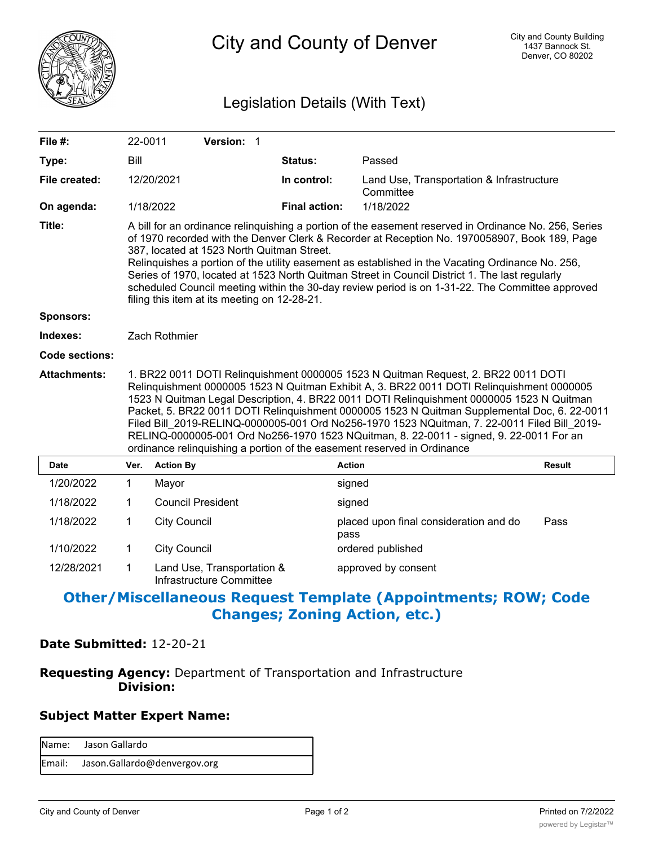

City and County of Denver

# Legislation Details (With Text)

| File $#$ :          | 22-0011                                                                                                                                                                                                                                                                                                                                                                                                                                                                                                                                                                                                                                            |                          | Version: 1 |  |                      |                                                        |               |
|---------------------|----------------------------------------------------------------------------------------------------------------------------------------------------------------------------------------------------------------------------------------------------------------------------------------------------------------------------------------------------------------------------------------------------------------------------------------------------------------------------------------------------------------------------------------------------------------------------------------------------------------------------------------------------|--------------------------|------------|--|----------------------|--------------------------------------------------------|---------------|
| Type:               | Bill                                                                                                                                                                                                                                                                                                                                                                                                                                                                                                                                                                                                                                               |                          |            |  | Status:              | Passed                                                 |               |
| File created:       |                                                                                                                                                                                                                                                                                                                                                                                                                                                                                                                                                                                                                                                    | 12/20/2021               |            |  | In control:          | Land Use, Transportation & Infrastructure<br>Committee |               |
| On agenda:          |                                                                                                                                                                                                                                                                                                                                                                                                                                                                                                                                                                                                                                                    | 1/18/2022                |            |  | <b>Final action:</b> | 1/18/2022                                              |               |
| Title:              | A bill for an ordinance relinquishing a portion of the easement reserved in Ordinance No. 256, Series<br>of 1970 recorded with the Denver Clerk & Recorder at Reception No. 1970058907, Book 189, Page<br>387, located at 1523 North Quitman Street.<br>Relinquishes a portion of the utility easement as established in the Vacating Ordinance No. 256,<br>Series of 1970, located at 1523 North Quitman Street in Council District 1. The last regularly<br>scheduled Council meeting within the 30-day review period is on 1-31-22. The Committee approved<br>filing this item at its meeting on 12-28-21.                                      |                          |            |  |                      |                                                        |               |
| <b>Sponsors:</b>    |                                                                                                                                                                                                                                                                                                                                                                                                                                                                                                                                                                                                                                                    |                          |            |  |                      |                                                        |               |
| Indexes:            | Zach Rothmier                                                                                                                                                                                                                                                                                                                                                                                                                                                                                                                                                                                                                                      |                          |            |  |                      |                                                        |               |
| Code sections:      |                                                                                                                                                                                                                                                                                                                                                                                                                                                                                                                                                                                                                                                    |                          |            |  |                      |                                                        |               |
| <b>Attachments:</b> | 1. BR22 0011 DOTI Relinquishment 0000005 1523 N Quitman Request, 2. BR22 0011 DOTI<br>Relinquishment 0000005 1523 N Quitman Exhibit A, 3. BR22 0011 DOTI Relinquishment 0000005<br>1523 N Quitman Legal Description, 4. BR22 0011 DOTI Relinquishment 0000005 1523 N Quitman<br>Packet, 5. BR22 0011 DOTI Relinquishment 0000005 1523 N Quitman Supplemental Doc, 6. 22-0011<br>Filed Bill 2019-RELINQ-0000005-001 Ord No256-1970 1523 NQuitman, 7. 22-0011 Filed Bill 2019-<br>RELINQ-0000005-001 Ord No256-1970 1523 NQuitman, 8. 22-0011 - signed, 9. 22-0011 For an<br>ordinance relinquishing a portion of the easement reserved in Ordinance |                          |            |  |                      |                                                        |               |
| <b>Date</b>         | Ver.                                                                                                                                                                                                                                                                                                                                                                                                                                                                                                                                                                                                                                               | <b>Action By</b>         |            |  |                      | <b>Action</b>                                          | <b>Result</b> |
| 1/20/2022           | 1                                                                                                                                                                                                                                                                                                                                                                                                                                                                                                                                                                                                                                                  | Mayor                    |            |  |                      | signed                                                 |               |
| 1/18/2022           | 1                                                                                                                                                                                                                                                                                                                                                                                                                                                                                                                                                                                                                                                  | <b>Council President</b> |            |  |                      | signed                                                 |               |
| 1/18/2022           | 1                                                                                                                                                                                                                                                                                                                                                                                                                                                                                                                                                                                                                                                  | <b>City Council</b>      |            |  |                      | placed upon final consideration and do<br>pass         | Pass          |
| 1/10/2022           | 1                                                                                                                                                                                                                                                                                                                                                                                                                                                                                                                                                                                                                                                  | <b>City Council</b>      |            |  |                      | ordered published                                      |               |

Land Use, Transportation & approved by consent Infrastructure Committee 12/28/2021 1

# **Other/Miscellaneous Request Template (Appointments; ROW; Code Changes; Zoning Action, etc.)**

### **Date Submitted:** 12-20-21

## **Requesting Agency:** Department of Transportation and Infrastructure  **Division:**

#### **Subject Matter Expert Name:**

| Name: Jason Gallardo                |
|-------------------------------------|
| Email: Jason.Gallardo@denvergov.org |